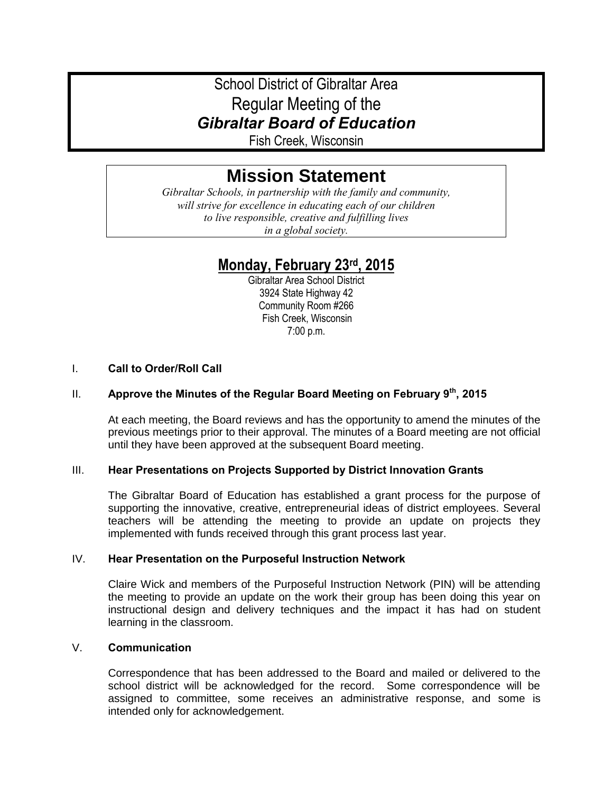# School District of Gibraltar Area Regular Meeting of the *Gibraltar Board of Education*

Fish Creek, Wisconsin

# **Mission Statement**

*Gibraltar Schools, in partnership with the family and community, will strive for excellence in educating each of our children to live responsible, creative and fulfilling lives in a global society.*

# **Monday, February 23rd, 2015**

Gibraltar Area School District 3924 State Highway 42 Community Room #266 Fish Creek, Wisconsin 7:00 p.m.

# I. **Call to Order/Roll Call**

# II. **Approve the Minutes of the Regular Board Meeting on February 9th, 2015**

At each meeting, the Board reviews and has the opportunity to amend the minutes of the previous meetings prior to their approval. The minutes of a Board meeting are not official until they have been approved at the subsequent Board meeting.

# III. **Hear Presentations on Projects Supported by District Innovation Grants**

The Gibraltar Board of Education has established a grant process for the purpose of supporting the innovative, creative, entrepreneurial ideas of district employees. Several teachers will be attending the meeting to provide an update on projects they implemented with funds received through this grant process last year.

#### IV. **Hear Presentation on the Purposeful Instruction Network**

Claire Wick and members of the Purposeful Instruction Network (PIN) will be attending the meeting to provide an update on the work their group has been doing this year on instructional design and delivery techniques and the impact it has had on student learning in the classroom.

# V. **Communication**

Correspondence that has been addressed to the Board and mailed or delivered to the school district will be acknowledged for the record. Some correspondence will be assigned to committee, some receives an administrative response, and some is intended only for acknowledgement.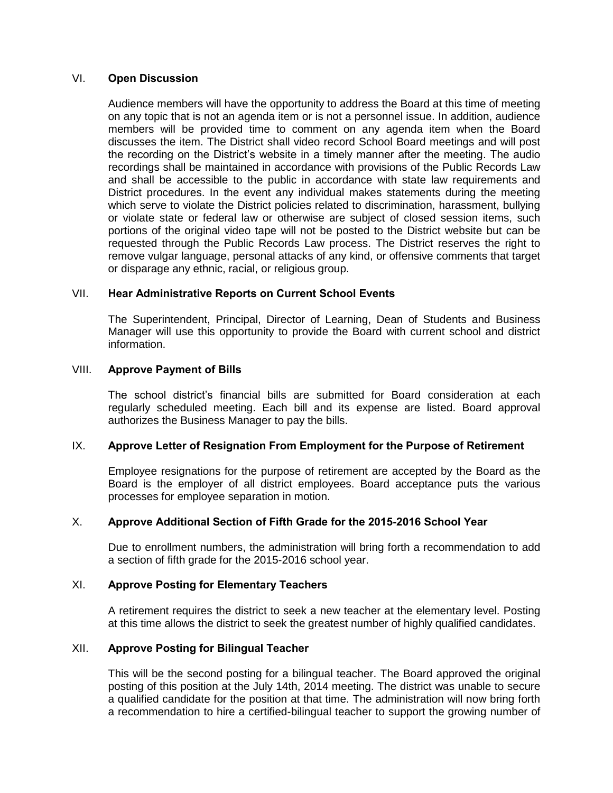#### VI. **Open Discussion**

Audience members will have the opportunity to address the Board at this time of meeting on any topic that is not an agenda item or is not a personnel issue. In addition, audience members will be provided time to comment on any agenda item when the Board discusses the item. The District shall video record School Board meetings and will post the recording on the District's website in a timely manner after the meeting. The audio recordings shall be maintained in accordance with provisions of the Public Records Law and shall be accessible to the public in accordance with state law requirements and District procedures. In the event any individual makes statements during the meeting which serve to violate the District policies related to discrimination, harassment, bullying or violate state or federal law or otherwise are subject of closed session items, such portions of the original video tape will not be posted to the District website but can be requested through the Public Records Law process. The District reserves the right to remove vulgar language, personal attacks of any kind, or offensive comments that target or disparage any ethnic, racial, or religious group.

### VII. **Hear Administrative Reports on Current School Events**

The Superintendent, Principal, Director of Learning, Dean of Students and Business Manager will use this opportunity to provide the Board with current school and district information.

### VIII. **Approve Payment of Bills**

The school district's financial bills are submitted for Board consideration at each regularly scheduled meeting. Each bill and its expense are listed. Board approval authorizes the Business Manager to pay the bills.

# IX. **Approve Letter of Resignation From Employment for the Purpose of Retirement**

Employee resignations for the purpose of retirement are accepted by the Board as the Board is the employer of all district employees. Board acceptance puts the various processes for employee separation in motion.

# X. **Approve Additional Section of Fifth Grade for the 2015-2016 School Year**

Due to enrollment numbers, the administration will bring forth a recommendation to add a section of fifth grade for the 2015-2016 school year.

#### XI. **Approve Posting for Elementary Teachers**

A retirement requires the district to seek a new teacher at the elementary level. Posting at this time allows the district to seek the greatest number of highly qualified candidates.

#### XII. **Approve Posting for Bilingual Teacher**

This will be the second posting for a bilingual teacher. The Board approved the original posting of this position at the July 14th, 2014 meeting. The district was unable to secure a qualified candidate for the position at that time. The administration will now bring forth a recommendation to hire a certified-bilingual teacher to support the growing number of